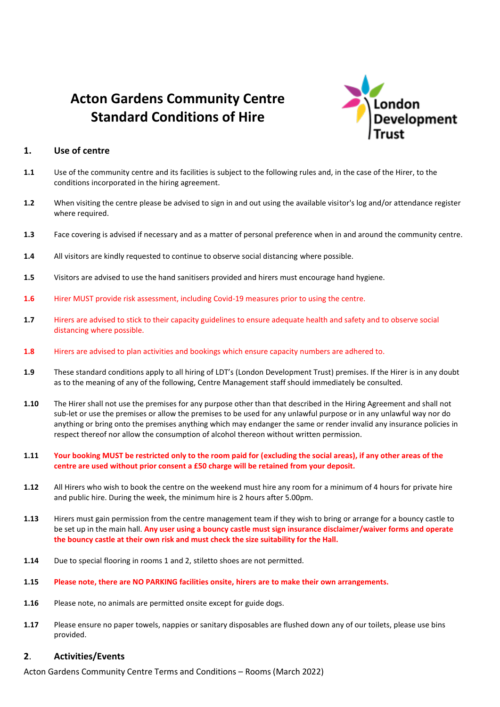# **Acton Gardens Community Centre Standard Conditions of Hire**



# **1. Use of centre**

- **1.1** Use of the community centre and its facilities is subject to the following rules and, in the case of the Hirer, to the conditions incorporated in the hiring agreement.
- **1.2** When visiting the centre please be advised to sign in and out using the available visitor's log and/or attendance register where required.
- **1.3** Face covering is advised if necessary and as a matter of personal preference when in and around the community centre.
- **1.4** All visitors are kindly requested to continue to observe social distancing where possible.
- **1.5** Visitors are advised to use the hand sanitisers provided and hirers must encourage hand hygiene.
- **1.6** Hirer MUST provide risk assessment, including Covid-19 measures prior to using the centre.
- **1.7** Hirers are advised to stick to their capacity guidelines to ensure adequate health and safety and to observe social distancing where possible.
- **1.8** Hirers are advised to plan activities and bookings which ensure capacity numbers are adhered to.
- **1.9** These standard conditions apply to all hiring of LDT's (London Development Trust) premises. If the Hirer is in any doubt as to the meaning of any of the following, Centre Management staff should immediately be consulted.
- **1.10** The Hirer shall not use the premises for any purpose other than that described in the Hiring Agreement and shall not sub-let or use the premises or allow the premises to be used for any unlawful purpose or in any unlawful way nor do anything or bring onto the premises anything which may endanger the same or render invalid any insurance policies in respect thereof nor allow the consumption of alcohol thereon without written permission.
- **1.11 Your booking MUST be restricted only to the room paid for (excluding the social areas), if any other areas of the centre are used without prior consent a £50 charge will be retained from your deposit.**
- **1.12** All Hirers who wish to book the centre on the weekend must hire any room for a minimum of 4 hours for private hire and public hire. During the week, the minimum hire is 2 hours after 5.00pm.
- **1.13** Hirers must gain permission from the centre management team if they wish to bring or arrange for a bouncy castle to be set up in the main hall. **Any user using a bouncy castle must sign insurance disclaimer/waiver forms and operate the bouncy castle at their own risk and must check the size suitability for the Hall.**
- **1.14** Due to special flooring in rooms 1 and 2, stiletto shoes are not permitted.
- **1.15 Please note, there are NO PARKING facilities onsite, hirers are to make their own arrangements.**
- **1.16** Please note, no animals are permitted onsite except for guide dogs.
- **1.17** Please ensure no paper towels, nappies or sanitary disposables are flushed down any of our toilets, please use bins provided.

## **2**. **Activities/Events**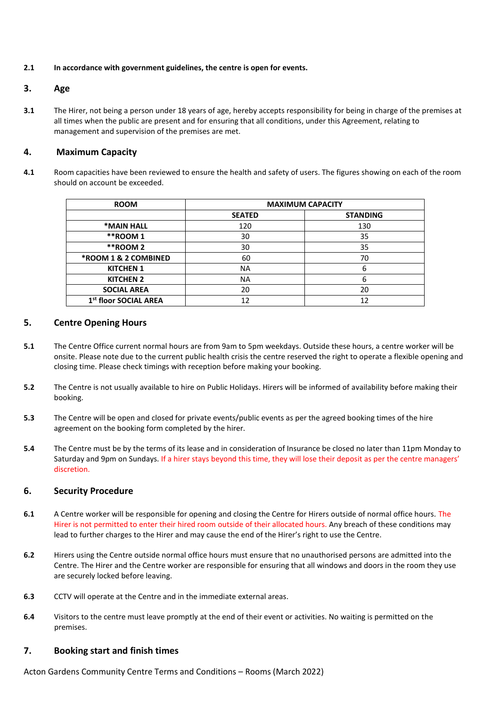#### **2.1 In accordance with government guidelines, the centre is open for events.**

# **3. Age**

**3.1** The Hirer, not being a person under 18 years of age, hereby accepts responsibility for being in charge of the premises at all times when the public are present and for ensuring that all conditions, under this Agreement, relating to management and supervision of the premises are met.

# **4. Maximum Capacity**

**4.1** Room capacities have been reviewed to ensure the health and safety of users. The figures showing on each of the room should on account be exceeded.

| <b>ROOM</b>                       | <b>MAXIMUM CAPACITY</b> |                 |
|-----------------------------------|-------------------------|-----------------|
|                                   | <b>SEATED</b>           | <b>STANDING</b> |
| *MAIN HALL                        | 120                     | 130             |
| **ROOM 1                          | 30                      | 35              |
| **ROOM 2                          | 30                      | 35              |
| <b>*ROOM 1 &amp; 2 COMBINED</b>   | 60                      | 70              |
| <b>KITCHEN 1</b>                  | <b>NA</b>               | 6               |
| <b>KITCHEN 2</b>                  | NA                      | 6               |
| <b>SOCIAL AREA</b>                | 20                      | 20              |
| 1 <sup>st</sup> floor SOCIAL AREA |                         | 12              |

# **5. Centre Opening Hours**

- **5.1** The Centre Office current normal hours are from 9am to 5pm weekdays. Outside these hours, a centre worker will be onsite. Please note due to the current public health crisis the centre reserved the right to operate a flexible opening and closing time. Please check timings with reception before making your booking.
- **5.2** The Centre is not usually available to hire on Public Holidays. Hirers will be informed of availability before making their booking.
- **5.3** The Centre will be open and closed for private events/public events as per the agreed booking times of the hire agreement on the booking form completed by the hirer.
- **5.4** The Centre must be by the terms of its lease and in consideration of Insurance be closed no later than 11pm Monday to Saturday and 9pm on Sundays. If a hirer stays beyond this time, they will lose their deposit as per the centre managers' discretion.

# **6. Security Procedure**

- **6.1** A Centre worker will be responsible for opening and closing the Centre for Hirers outside of normal office hours. The Hirer is not permitted to enter their hired room outside of their allocated hours. Any breach of these conditions may lead to further charges to the Hirer and may cause the end of the Hirer's right to use the Centre.
- **6.2** Hirers using the Centre outside normal office hours must ensure that no unauthorised persons are admitted into the Centre. The Hirer and the Centre worker are responsible for ensuring that all windows and doors in the room they use are securely locked before leaving.
- **6.3** CCTV will operate at the Centre and in the immediate external areas.
- **6.4** Visitors to the centre must leave promptly at the end of their event or activities. No waiting is permitted on the premises.

# **7. Booking start and finish times**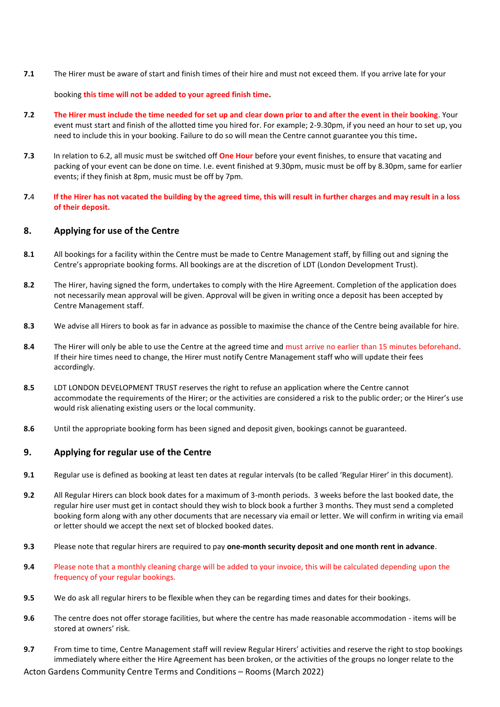**7.1** The Hirer must be aware of start and finish times of their hire and must not exceed them. If you arrive late for your

#### booking **this time will not be added to your agreed finish time.**

- **7.2 The Hirer must include the time needed for set up and clear down prior to and after the event in their booking**. Your event must start and finish of the allotted time you hired for. For example; 2-9.30pm, if you need an hour to set up, you need to include this in your booking. Failure to do so will mean the Centre cannot guarantee you this time**.**
- **7.3** In relation to 6.2, all music must be switched off **One Hour** before your event finishes, to ensure that vacating and packing of your event can be done on time. I.e. event finished at 9.30pm, music must be off by 8.30pm, same for earlier events; if they finish at 8pm, music must be off by 7pm.
- **7.**4 **If the Hirer has not vacated the building by the agreed time, this will result in further charges and may result in a loss of their deposit.**

# **8. Applying for use of the Centre**

- **8.1** All bookings for a facility within the Centre must be made to Centre Management staff, by filling out and signing the Centre's appropriate booking forms. All bookings are at the discretion of LDT (London Development Trust).
- **8.2** The Hirer, having signed the form, undertakes to comply with the Hire Agreement. Completion of the application does not necessarily mean approval will be given. Approval will be given in writing once a deposit has been accepted by Centre Management staff.
- **8.3** We advise all Hirers to book as far in advance as possible to maximise the chance of the Centre being available for hire.
- **8.4** The Hirer will only be able to use the Centre at the agreed time and must arrive no earlier than 15 minutes beforehand. If their hire times need to change, the Hirer must notify Centre Management staff who will update their fees accordingly.
- **8.5** LDT LONDON DEVELOPMENT TRUST reserves the right to refuse an application where the Centre cannot accommodate the requirements of the Hirer; or the activities are considered a risk to the public order; or the Hirer's use would risk alienating existing users or the local community.
- **8.6** Until the appropriate booking form has been signed and deposit given, bookings cannot be guaranteed.

# **9. Applying for regular use of the Centre**

- **9.1** Regular use is defined as booking at least ten dates at regular intervals (to be called 'Regular Hirer' in this document).
- **9.2** All Regular Hirers can block book dates for a maximum of 3-month periods. 3 weeks before the last booked date, the regular hire user must get in contact should they wish to block book a further 3 months. They must send a completed booking form along with any other documents that are necessary via email or letter. We will confirm in writing via email or letter should we accept the next set of blocked booked dates.
- **9.3** Please note that regular hirers are required to pay **one-month security deposit and one month rent in advance**.
- **9.4** Please note that a monthly cleaning charge will be added to your invoice, this will be calculated depending upon the frequency of your regular bookings.
- **9.5** We do ask all regular hirers to be flexible when they can be regarding times and dates for their bookings.
- **9.6** The centre does not offer storage facilities, but where the centre has made reasonable accommodation items will be stored at owners' risk.
- **9.7** From time to time, Centre Management staff will review Regular Hirers' activities and reserve the right to stop bookings immediately where either the Hire Agreement has been broken, or the activities of the groups no longer relate to the
- Acton Gardens Community Centre Terms and Conditions Rooms (March 2022)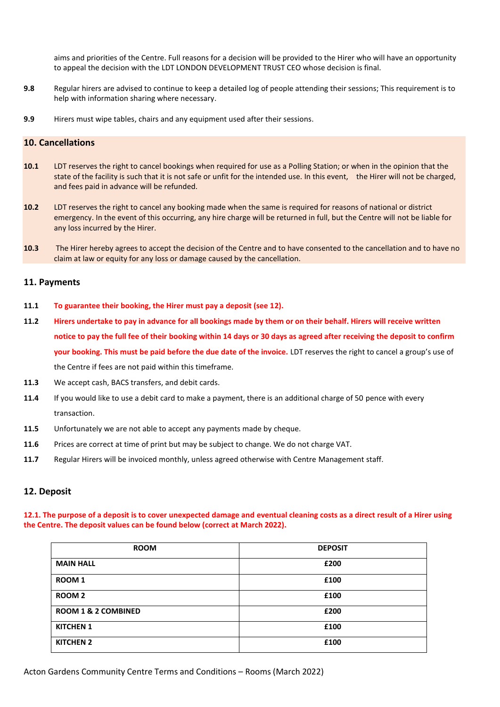aims and priorities of the Centre. Full reasons for a decision will be provided to the Hirer who will have an opportunity to appeal the decision with the LDT LONDON DEVELOPMENT TRUST CEO whose decision is final.

- **9.8** Regular hirers are advised to continue to keep a detailed log of people attending their sessions; This requirement is to help with information sharing where necessary.
- **9.9** Hirers must wipe tables, chairs and any equipment used after their sessions.

# **10. Cancellations**

- **10.1** LDT reserves the right to cancel bookings when required for use as a Polling Station; or when in the opinion that the state of the facility is such that it is not safe or unfit for the intended use. In this event, the Hirer will not be charged, and fees paid in advance will be refunded.
- **10.2** LDT reserves the right to cancel any booking made when the same is required for reasons of national or district emergency. In the event of this occurring, any hire charge will be returned in full, but the Centre will not be liable for any loss incurred by the Hirer.
- **10.3** The Hirer hereby agrees to accept the decision of the Centre and to have consented to the cancellation and to have no claim at law or equity for any loss or damage caused by the cancellation.

#### **11. Payments**

- **11.1 To guarantee their booking, the Hirer must pay a deposit (see 12).**
- **11.2 Hirers undertake to pay in advance for all bookings made by them or on their behalf. Hirers will receive written notice to pay the full fee of their booking within 14 days or 30 days as agreed after receiving the deposit to confirm your booking. This must be paid before the due date of the invoice.** LDT reserves the right to cancel a group's use of the Centre if fees are not paid within this timeframe.
- **11.3** We accept cash, BACS transfers, and debit cards.
- **11.4** If you would like to use a debit card to make a payment, there is an additional charge of 50 pence with every transaction.
- **11.5** Unfortunately we are not able to accept any payments made by cheque.
- **11.6** Prices are correct at time of print but may be subject to change. We do not charge VAT.
- **11.7** Regular Hirers will be invoiced monthly, unless agreed otherwise with Centre Management staff.

# **12. Deposit**

**12.1. The purpose of a deposit is to cover unexpected damage and eventual cleaning costs as a direct result of a Hirer using the Centre. The deposit values can be found below (correct at March 2022).**

| <b>ROOM</b>                    | <b>DEPOSIT</b> |
|--------------------------------|----------------|
| <b>MAIN HALL</b>               | £200           |
| ROOM 1                         | £100           |
| ROOM <sub>2</sub>              | £100           |
| <b>ROOM 1 &amp; 2 COMBINED</b> | £200           |
| <b>KITCHEN 1</b>               | £100           |
| <b>KITCHEN 2</b>               | £100           |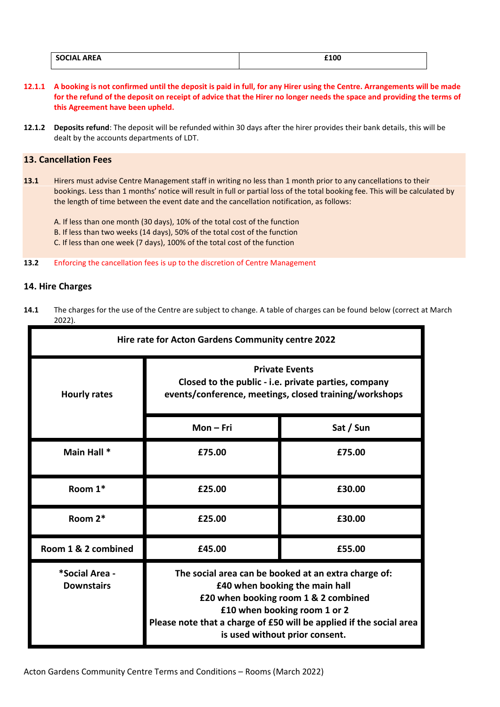| <b>SOCIAL</b><br><b>AREA</b> | £100 |
|------------------------------|------|
|                              |      |

- **12.1.1 A booking is not confirmed until the deposit is paid in full, for any Hirer using the Centre. Arrangements will be made for the refund of the deposit on receipt of advice that the Hirer no longer needs the space and providing the terms of this Agreement have been upheld.**
- **12.1.2 Deposits refund**: The deposit will be refunded within 30 days after the hirer provides their bank details, this will be dealt by the accounts departments of LDT.

## **13. Cancellation Fees**

- **13.1** Hirers must advise Centre Management staff in writing no less than 1 month prior to any cancellations to their bookings. Less than 1 months' notice will result in full or partial loss of the total booking fee. This will be calculated by the length of time between the event date and the cancellation notification, as follows:
	- A. If less than one month (30 days), 10% of the total cost of the function B. If less than two weeks (14 days), 50% of the total cost of the function C. If less than one week (7 days), 100% of the total cost of the function
- **13.2** Enforcing the cancellation fees is up to the discretion of Centre Management

# **14. Hire Charges**

**14.1** The charges for the use of the Centre are subject to change. A table of charges can be found below (correct at March 2022).

| Hire rate for Acton Gardens Community centre 2022 |                                                                                                                                                                                                                                                                         |           |
|---------------------------------------------------|-------------------------------------------------------------------------------------------------------------------------------------------------------------------------------------------------------------------------------------------------------------------------|-----------|
| <b>Hourly rates</b>                               | <b>Private Events</b><br>Closed to the public - i.e. private parties, company<br>events/conference, meetings, closed training/workshops                                                                                                                                 |           |
|                                                   | $Mon-Fri$                                                                                                                                                                                                                                                               | Sat / Sun |
| Main Hall *                                       | £75.00                                                                                                                                                                                                                                                                  | £75.00    |
| Room 1*                                           | £25.00                                                                                                                                                                                                                                                                  | £30.00    |
| Room 2*                                           | £25.00                                                                                                                                                                                                                                                                  | £30.00    |
| Room 1 & 2 combined                               | £45.00                                                                                                                                                                                                                                                                  | £55.00    |
| *Social Area -<br><b>Downstairs</b>               | The social area can be booked at an extra charge of:<br>£40 when booking the main hall<br>£20 when booking room 1 & 2 combined<br>£10 when booking room 1 or 2<br>Please note that a charge of £50 will be applied if the social area<br>is used without prior consent. |           |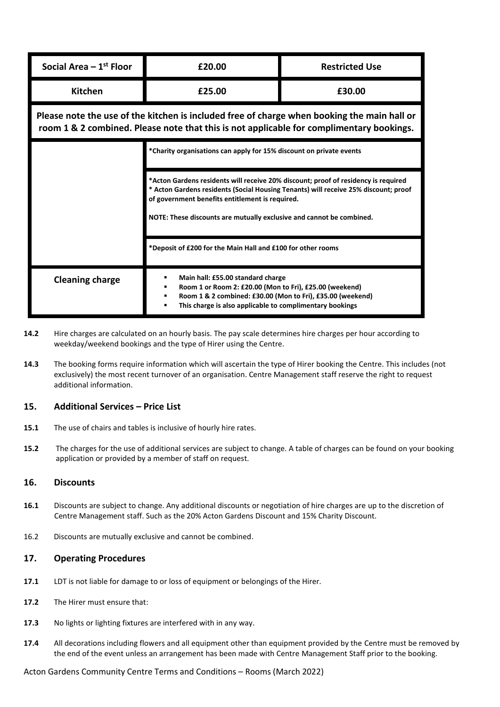| Social Area $-1st$ Floor                                                                                                                                                                | £20.00                                                                                                                                                                                                                                                                                                                                                                      | <b>Restricted Use</b> |  |
|-----------------------------------------------------------------------------------------------------------------------------------------------------------------------------------------|-----------------------------------------------------------------------------------------------------------------------------------------------------------------------------------------------------------------------------------------------------------------------------------------------------------------------------------------------------------------------------|-----------------------|--|
| <b>Kitchen</b>                                                                                                                                                                          | £25.00                                                                                                                                                                                                                                                                                                                                                                      | £30.00                |  |
| Please note the use of the kitchen is included free of charge when booking the main hall or<br>room 1 & 2 combined. Please note that this is not applicable for complimentary bookings. |                                                                                                                                                                                                                                                                                                                                                                             |                       |  |
|                                                                                                                                                                                         | *Charity organisations can apply for 15% discount on private events<br>*Acton Gardens residents will receive 20% discount; proof of residency is required<br>* Acton Gardens residents (Social Housing Tenants) will receive 25% discount; proof<br>of government benefits entitlement is required.<br>NOTE: These discounts are mutually exclusive and cannot be combined. |                       |  |
|                                                                                                                                                                                         |                                                                                                                                                                                                                                                                                                                                                                             |                       |  |
|                                                                                                                                                                                         | *Deposit of £200 for the Main Hall and £100 for other rooms                                                                                                                                                                                                                                                                                                                 |                       |  |
| <b>Cleaning charge</b>                                                                                                                                                                  | Main hall: £55.00 standard charge<br>Room 1 or Room 2: £20.00 (Mon to Fri), £25.00 (weekend)<br>Room 1 & 2 combined: £30.00 (Mon to Fri), £35.00 (weekend)<br>This charge is also applicable to complimentary bookings                                                                                                                                                      |                       |  |

- **14.2** Hire charges are calculated on an hourly basis. The pay scale determines hire charges per hour according to weekday/weekend bookings and the type of Hirer using the Centre.
- **14.3** The booking forms require information which will ascertain the type of Hirer booking the Centre. This includes (not exclusively) the most recent turnover of an organisation. Centre Management staff reserve the right to request additional information.

# **15. Additional Services – Price List**

- **15.1** The use of chairs and tables is inclusive of hourly hire rates.
- **15.2** The charges for the use of additional services are subject to change. A table of charges can be found on your booking application or provided by a member of staff on request.

## **16. Discounts**

- **16.1** Discounts are subject to change. Any additional discounts or negotiation of hire charges are up to the discretion of Centre Management staff. Such as the 20% Acton Gardens Discount and 15% Charity Discount.
- 16.2 Discounts are mutually exclusive and cannot be combined.

#### **17. Operating Procedures**

- **17.1** LDT is not liable for damage to or loss of equipment or belongings of the Hirer.
- **17.2** The Hirer must ensure that:
- **17.3** No lights or lighting fixtures are interfered with in any way.
- **17.4** All decorations including flowers and all equipment other than equipment provided by the Centre must be removed by the end of the event unless an arrangement has been made with Centre Management Staff prior to the booking.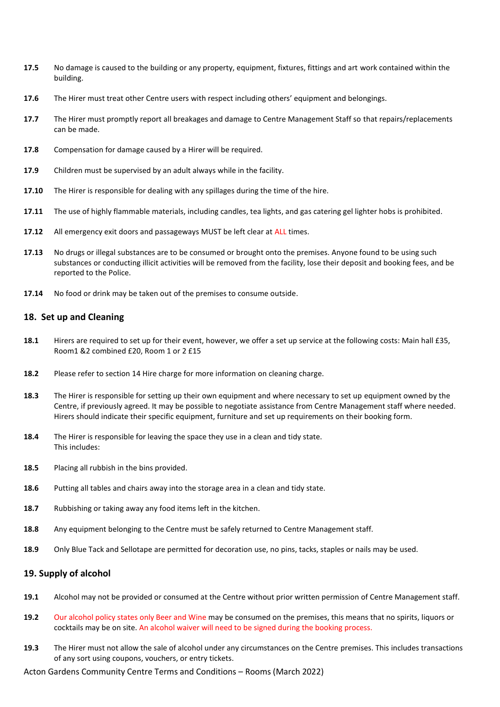- **17.5** No damage is caused to the building or any property, equipment, fixtures, fittings and art work contained within the building.
- **17.6** The Hirer must treat other Centre users with respect including others' equipment and belongings.
- **17.7** The Hirer must promptly report all breakages and damage to Centre Management Staff so that repairs/replacements can be made.
- **17.8** Compensation for damage caused by a Hirer will be required.
- **17.9** Children must be supervised by an adult always while in the facility.
- **17.10** The Hirer is responsible for dealing with any spillages during the time of the hire.
- **17.11** The use of highly flammable materials, including candles, tea lights, and gas catering gel lighter hobs is prohibited.
- **17.12** All emergency exit doors and passageways MUST be left clear at ALL times.
- **17.13** No drugs or illegal substances are to be consumed or brought onto the premises. Anyone found to be using such substances or conducting illicit activities will be removed from the facility, lose their deposit and booking fees, and be reported to the Police.
- **17.14** No food or drink may be taken out of the premises to consume outside.

#### **18. Set up and Cleaning**

- **18.1** Hirers are required to set up for their event, however, we offer a set up service at the following costs: Main hall £35, Room1 &2 combined £20, Room 1 or 2 £15
- **18.2** Please refer to section 14 Hire charge for more information on cleaning charge.
- **18.3** The Hirer is responsible for setting up their own equipment and where necessary to set up equipment owned by the Centre, if previously agreed. It may be possible to negotiate assistance from Centre Management staff where needed. Hirers should indicate their specific equipment, furniture and set up requirements on their booking form.
- **18.4** The Hirer is responsible for leaving the space they use in a clean and tidy state. This includes:
- **18.5** Placing all rubbish in the bins provided.
- **18.6** Putting all tables and chairs away into the storage area in a clean and tidy state.
- **18.7** Rubbishing or taking away any food items left in the kitchen.
- **18.8** Any equipment belonging to the Centre must be safely returned to Centre Management staff.
- **18.9** Only Blue Tack and Sellotape are permitted for decoration use, no pins, tacks, staples or nails may be used.

## **19. Supply of alcohol**

- **19.1** Alcohol may not be provided or consumed at the Centre without prior written permission of Centre Management staff.
- **19.2** Our alcohol policy states only Beer and Wine may be consumed on the premises, this means that no spirits, liquors or cocktails may be on site. An alcohol waiver will need to be signed during the booking process.
- **19.3** The Hirer must not allow the sale of alcohol under any circumstances on the Centre premises. This includes transactions of any sort using coupons, vouchers, or entry tickets.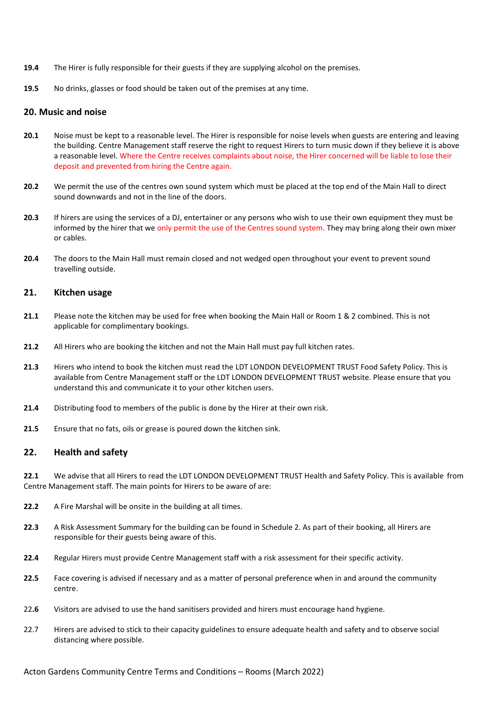- **19.4** The Hirer is fully responsible for their guests if they are supplying alcohol on the premises.
- **19.5** No drinks, glasses or food should be taken out of the premises at any time.

#### **20. Music and noise**

- **20.1** Noise must be kept to a reasonable level. The Hirer is responsible for noise levels when guests are entering and leaving the building. Centre Management staff reserve the right to request Hirers to turn music down if they believe it is above a reasonable level. Where the Centre receives complaints about noise, the Hirer concerned will be liable to lose their deposit and prevented from hiring the Centre again.
- **20.2** We permit the use of the centres own sound system which must be placed at the top end of the Main Hall to direct sound downwards and not in the line of the doors.
- **20.3** If hirers are using the services of a DJ, entertainer or any persons who wish to use their own equipment they must be informed by the hirer that we only permit the use of the Centres sound system. They may bring along their own mixer or cables.
- **20.4** The doors to the Main Hall must remain closed and not wedged open throughout your event to prevent sound travelling outside.

#### **21. Kitchen usage**

- **21.1** Please note the kitchen may be used for free when booking the Main Hall or Room 1 & 2 combined. This is not applicable for complimentary bookings.
- **21.2** All Hirers who are booking the kitchen and not the Main Hall must pay full kitchen rates.
- **21.3** Hirers who intend to book the kitchen must read the LDT LONDON DEVELOPMENT TRUST Food Safety Policy. This is available from Centre Management staff or the LDT LONDON DEVELOPMENT TRUST website. Please ensure that you understand this and communicate it to your other kitchen users.
- **21.4** Distributing food to members of the public is done by the Hirer at their own risk.
- **21.5** Ensure that no fats, oils or grease is poured down the kitchen sink.

#### **22. Health and safety**

**22.1** We advise that all Hirers to read the LDT LONDON DEVELOPMENT TRUST Health and Safety Policy. This is available from Centre Management staff. The main points for Hirers to be aware of are:

- **22.2** A Fire Marshal will be onsite in the building at all times.
- **22.3** A Risk Assessment Summary for the building can be found in Schedule 2. As part of their booking, all Hirers are responsible for their guests being aware of this.
- **22.4** Regular Hirers must provide Centre Management staff with a risk assessment for their specific activity.
- **22.5** Face covering is advised if necessary and as a matter of personal preference when in and around the community centre.
- 22**.6** Visitors are advised to use the hand sanitisers provided and hirers must encourage hand hygiene.
- 22.7 Hirers are advised to stick to their capacity guidelines to ensure adequate health and safety and to observe social distancing where possible.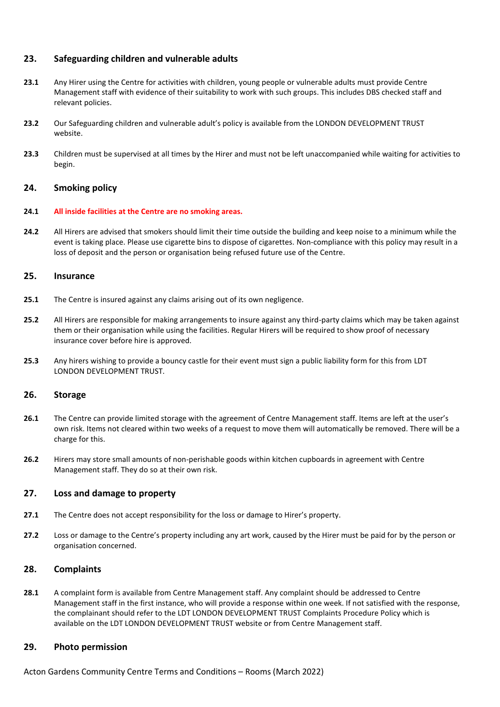# **23. Safeguarding children and vulnerable adults**

- **23.1** Any Hirer using the Centre for activities with children, young people or vulnerable adults must provide Centre Management staff with evidence of their suitability to work with such groups. This includes DBS checked staff and relevant policies.
- **23.2** Our Safeguarding children and vulnerable adult's policy is available from the LONDON DEVELOPMENT TRUST website.
- **23.3** Children must be supervised at all times by the Hirer and must not be left unaccompanied while waiting for activities to begin.

# **24. Smoking policy**

#### **24.1 All inside facilities at the Centre are no smoking areas.**

**24.2** All Hirers are advised that smokers should limit their time outside the building and keep noise to a minimum while the event is taking place. Please use cigarette bins to dispose of cigarettes. Non-compliance with this policy may result in a loss of deposit and the person or organisation being refused future use of the Centre.

#### **25. Insurance**

- **25.1** The Centre is insured against any claims arising out of its own negligence.
- **25.2** All Hirers are responsible for making arrangements to insure against any third-party claims which may be taken against them or their organisation while using the facilities. Regular Hirers will be required to show proof of necessary insurance cover before hire is approved.
- **25.3** Any hirers wishing to provide a bouncy castle for their event must sign a public liability form for this from LDT LONDON DEVELOPMENT TRUST.

# **26. Storage**

- **26.1** The Centre can provide limited storage with the agreement of Centre Management staff. Items are left at the user's own risk. Items not cleared within two weeks of a request to move them will automatically be removed. There will be a charge for this.
- **26.2** Hirers may store small amounts of non-perishable goods within kitchen cupboards in agreement with Centre Management staff. They do so at their own risk.

# **27. Loss and damage to property**

- **27.1** The Centre does not accept responsibility for the loss or damage to Hirer's property.
- **27.2** Loss or damage to the Centre's property including any art work, caused by the Hirer must be paid for by the person or organisation concerned.

# **28. Complaints**

**28.1** A complaint form is available from Centre Management staff. Any complaint should be addressed to Centre Management staff in the first instance, who will provide a response within one week. If not satisfied with the response, the complainant should refer to the LDT LONDON DEVELOPMENT TRUST Complaints Procedure Policy which is available on the LDT LONDON DEVELOPMENT TRUST website or from Centre Management staff.

# **29. Photo permission**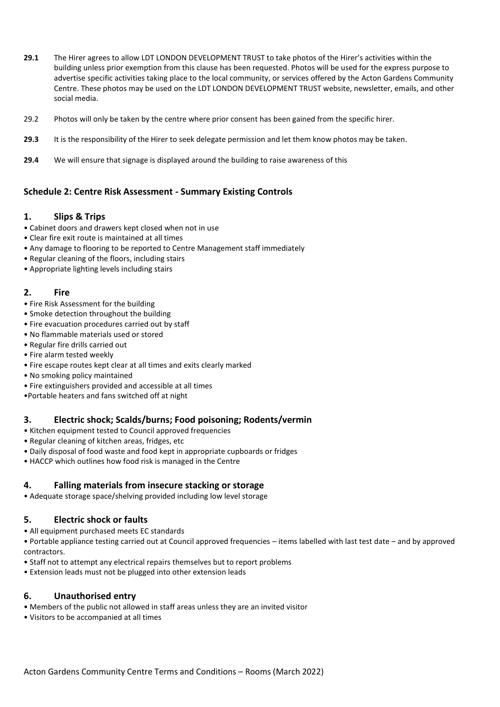- **29.1** The Hirer agrees to allow LDT LONDON DEVELOPMENT TRUST to take photos of the Hirer's activities within the building unless prior exemption from this clause has been requested. Photos will be used for the express purpose to advertise specific activities taking place to the local community, or services offered by the Acton Gardens Community Centre. These photos may be used on the LDT LONDON DEVELOPMENT TRUST website, newsletter, emails, and other social media.
- 29.2 Photos will only be taken by the centre where prior consent has been gained from the specific hirer.
- **29.3** It is the responsibility of the Hirer to seek delegate permission and let them know photos may be taken.
- **29.4** We will ensure that signage is displayed around the building to raise awareness of this

# **Schedule 2: Centre Risk Assessment - Summary Existing Controls**

# **1. Slips & Trips**

- Cabinet doors and drawers kept closed when not in use
- Clear fire exit route is maintained at all times
- Any damage to flooring to be reported to Centre Management staff immediately
- Regular cleaning of the floors, including stairs
- Appropriate lighting levels including stairs

# **2. Fire**

- Fire Risk Assessment for the building
- Smoke detection throughout the building
- Fire evacuation procedures carried out by staff
- No flammable materials used or stored
- Regular fire drills carried out
- Fire alarm tested weekly
- Fire escape routes kept clear at all times and exits clearly marked
- No smoking policy maintained
- Fire extinguishers provided and accessible at all times

•Portable heaters and fans switched off at night

# **3. Electric shock; Scalds/burns; Food poisoning; Rodents/vermin**

- Kitchen equipment tested to Council approved frequencies
- Regular cleaning of kitchen areas, fridges, etc
- Daily disposal of food waste and food kept in appropriate cupboards or fridges
- HACCP which outlines how food risk is managed in the Centre

# **4. Falling materials from insecure stacking or storage**

• Adequate storage space/shelving provided including low level storage

# **5. Electric shock or faults**

• All equipment purchased meets EC standards

• Portable appliance testing carried out at Council approved frequencies – items labelled with last test date – and by approved contractors.

- Staff not to attempt any electrical repairs themselves but to report problems
- Extension leads must not be plugged into other extension leads

# **6. Unauthorised entry**

- Members of the public not allowed in staff areas unless they are an invited visitor
- Visitors to be accompanied at all times